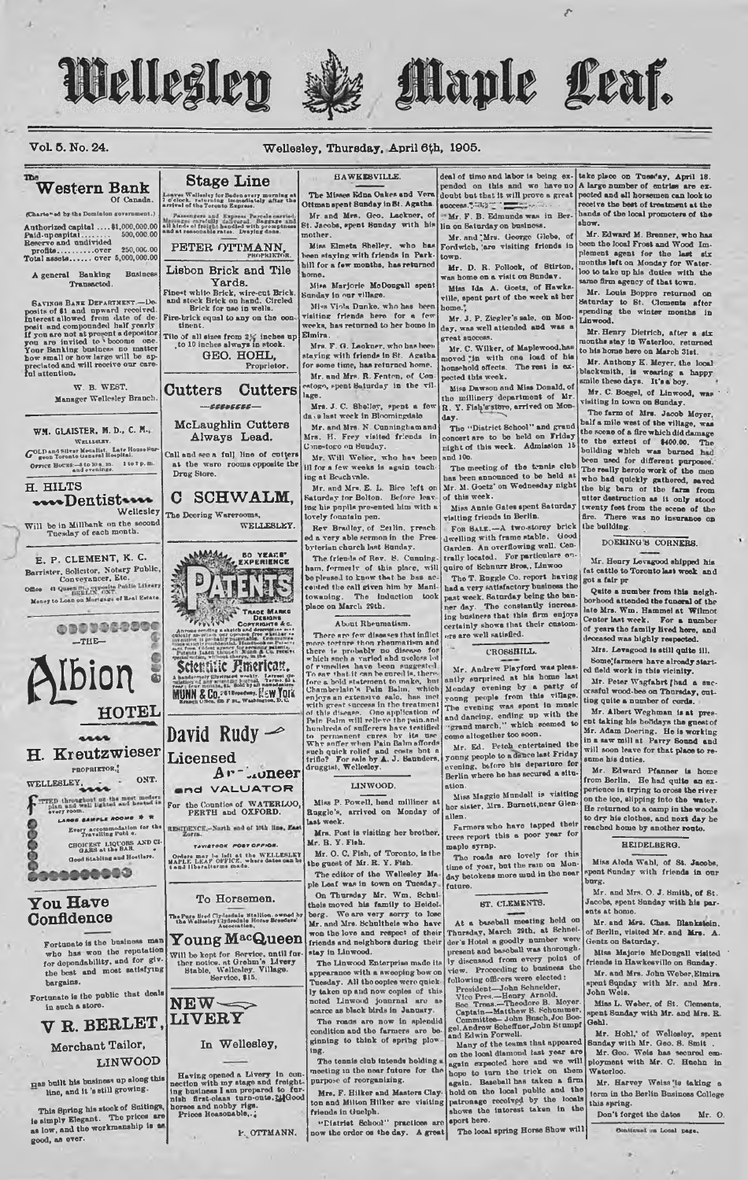# Wellesley

#### Wellesley, Thursday, April 6th, 1905.

#### Vol. 5, No. 24.

Western Bank

Chartered by the Dominion govern

A general Banking

precintou au

H. HILTS

Transacted.

W. B. WEST.

WM. GLAISTER, M. D., C. M.,

WELLESLEY GOLD and Silver Meanlist. Late House Sur<br>geon Toronto General Hospital.

OFFICE HOUSE  $-8$  to 10 a.m. 1 to 2 p.m.<br>and evenings.

www.Dentistwa

Will be in Millbank on the second Tucsday of each month.

E. P. CLEMENT, K. C.

Barrister, Solicitor, Notary Public,

Conveyancer, Etc.,<br>Comes et Queen St., eppedite Pablic Library<br>Money to Loan on Mortgage of Beal Estate

 $THE$ 

Ibion

....

H. Kreutzwieser

PROPRIETOR,

TTED throughout on the most modern<br>plan and well lighted and heated is<br>every room.

LANGE GAMPLE ROOMS & T

Every accommodation for the Travelling Publ c.

CHOICEST LIQUORS AND CI

Good Stabling and Hostlers

Fortunato is the business man who has won the reputation

V R. BERLET

Merchant Tailor,

Has built his business up along thi<br>line, and it 's still growing.

This Spring his stock of Suitings,

is simply Elegant. The prices are<br>as low, and the workmanship is as

LINWOOD

000000000

You Have

Confidence

hargains.

good, as ever.

in auch a store

WELLESLEY.

0003060000

HOTEL

ONT

Manager Wellesley Branch.

Of Canada.

Business

Wellesley

ent.

 $\overline{\mathbf{r}}$ 

#### **HAWKESVILLE.**

**Stage Line Eave: Wellesley for Baden every morning at<br>| o'clock.** returning | immediately after the<br>| srival of the Toronto Express. Fassengers and Express Parcels carried<br>all kinds of training delivered. Beggage and<br>all kinds of training the police with promptness<br>and at reasonable rates. Draying done.

PETER OTTMANN,

Lisbon Brick and Tile Yards. .<br>Fine SAVINGS BANK DEFARTNENT--Deposits of \$1 and upward received.<br>Interest allowed from this of the field posit and compounded half yearly<br>posit and compounded half yearly<br>you are not at present adpositor<br>you are initial to bec

Fine-t white Brick, wire-cut Brick<br>and stock Brick on hand. Circled<br>Brick for use in wells. Fire-brick equal to any on the condition.

Tile of all sizes from 21% inches up<br>to 10 inches always in stock.

GEO. HOHL, Proprietor

**Cutters Cutters** -cooreere

McLaughlin Cutters Always Lead.

Call and see a full line of cutters<br>at the were rooms opposite the at the ware<br>Drug Store.

C SCHWALM. The Deering Warerooms,

WELLESLEY.



David Rudy  $\sim$ 

#### Licensed Ar - ... oneer and VALUATOR

For the Counties of WATERLOO,<br>PERTH and OXFORD.

RESIDENCE,-North and of 10th line, East TAVISTOOK POST OFFICE Orders may be left at the WELLESLEY<br>MAPLE LEAP OFFICE, where dates can be<br>tand liberalterms made.



Young MacQueen Will be kept for Service, until fur-<br>ther notice, at Grebm's Livery<br>Stable, Wellesley, Village.<br>Service, \$15.



## In Wellesley,

Having opened a Livery in connection with my stage and freight-ing business lam prepared to furnish first-class turn-outs. McGood horses and nobby rigs.

P. OTTMANN.

The Misses Edna Oakes and Vers Ottman spent Sunday in St. Agatha Mr. and Mrs. Geo. Lackner, of St. Jacobs, spent Sunday with his mother.

Miss Elmeta Shelley, who has staying with friends in Park been staying with friends in Fars.<br>hill for a few months, has returned

Miss Marjorie McDougall spen unday in our village. Miss Viola Dunke, who has been<br>visiting friends here for a fev

reeks, has returned to her home in .<br>Elmira

Mrs. F. G. Lackner, who has b<br>staying with friends in St. Age Agatha e time, has returned how  $for n$ Mr and Mrs R. Fenton, of Constogo, spent Buturday in the vil lage.

Mrs. J. C. Shelley, spent a few da .s last week in Bloomingdale Mr. and Mrs. N. Cunningham and Mrs. H. Frey visited friends in

Mr. Will Weber, who has been<br>ill for a few weeks is again teaching at Beachvale.

Mr. and Mrs. E. L. Bice left on<br>Saturday for Bolton. Before leavthe history for above the before leaves the history foundation pen-

Rev Bradley, of Seilin, preed a very able sermon in the Pres byterian church hat Bunday.

The friends of Rov. S. Cunning ham. formerly of this place, will<br>be pleused to know that he has acrepted the call given him by Mo towaning. The in<br>place on March 29th. induction took

#### About Rheumatism.

About Rheumatism.<br>
There are few disconses that inflict<br>
more terture then a helion and there is probably no discose of<br>
the helion and the probably no discose of the probably and of the<br>
left and a varied and nodes to th

#### LINWOOD.

Miss P. Powell, head milliner at<br>Buggle's, arrived on Monday of<br>last week.

Mrs. Post is visiting her brother, B. Y. Fish

Mr. O. C. Fish, of Toronto, is the guest of Mr. R. Y. Fish. The editor of the Wellesley Ma

ple Leaf was in town on Tuesday On Thursday Mr. Wm is considered to the function of the state of the field-berg. We are very sorry to lose won the love and respect of their<br>friends and neighbors during their

stay in Linwood. The Linwood Enterprise made its appearance with a aweeping bow on lessiny. All the copies were quick ly taken up and now copies are questioned by taken up and now copies of this noted Linwood journal are as

The roads are now in splendid condition and the farmers are beginning to think of spring plow are be  $ing.$ 

The tennis club intends holding meeting in the near future for the nurnose of reorganizing.

Mrs. F. Hilker and Masters Clay ton and Milton Hilker are visiting friends in Guelph.

"District School" practices are now the order os the day. A great

deal of time and labor is being expended on this and we have no<br>doubt but that it will prove a great  $3.3<sup>–</sup>$ Mr. F. B. Edmunds was in Ber-

Maple Leaf.

lin on Saturday on business. Mr. and Mrs. George Glebe,

Fordwich, 'are visiting friends in town. Mr. D. R. Pollock, of Stirton,

as home on a visit on Sunday Miss Ida A. Goets, of Hawks-

ville, spent part of the week at her

Mr. J. P. Ziegler's sale, on Mon-<br>day, was well attended and was a st anonces

Mr. C. Wilker, of Maplewood.has moved "in with one load of his pected this week.

Miss Dawson and Miss Donald, of the millinery department of Mr.<br>R. Y. Fish's store, arrived on Monday.

The "District School" and grand concert are to be held on Friday night of this week. Admission 15 and 100.

The meeting of the tennis club has been announced to be held at<br>Mr. M. Goetz' on Wednesday night of this week.

Miss Annie Gates spent Saturday visiting friends in Berlin.

For SALE.-A two-storey brick<br>dwelling with frame stable. Good<br>Garden. An overflowing well. Contrally located. For particulars en quire of Schnurr Bros., Linwoo

The T. Ruggle Co. report having<br>had a very satisfactory business the<br>past week. Saturday being the banner day. The constantly increasing business that this firm enjoys eertainly shows that their custom

CROSSHILL.

Mr. Andrew Playford was pleas antly surprised at his home last Monday evening by a party young people from this villa of village. and dancing, ending up with the "grand march," which seemed to come altogether too soon.

Normal contrained the presentation of the contrained the prompt people to address last Friday of the parture for Berlin where he has secured a situntion

Miss Maggie Mundell is visiting her sister, Mrs. Burnett, near Glen allen.

Farmers who have tapped their trees report this a poor year for

The roads are lovely for this time of year, but the re 10 ou Monday betokens more mud in the near futuro.

#### ST. CLEMENTS.

At a baseball meeting held on Thursday, March 29th, at Schneider's Hotel a goodly number were

present and baseball was therough<br>
iy discussed from every point of<br>
view. Proceeding to business the<br>
following officers were elected:<br>
President—John Scheelder,<br>
Vice Pres.—Theodore B. Moyer.<br>
Nee Treas.—Theodore B. Moye

on the local diamond last year are again expected here and we will hope to turn the trick on them mganu. Ensemble in the take a nrm<br>hold on the local public and the<br>patronage recolved by the locals<br>shows the interest taken in the sport hero.

The local spring Horse Show will

take place on Tuesday, April 18. A large number of entries are exreceive the best of treatment at the hands of the local promoters of the show.

Mr. Edward M. Brenner, who has and Extend at Brenner, who makes been the local Frost and Wood Implement agent for the last six loo to take up his duties with the same firm agency of that town.

Mr. Louis Boppre returned on Saturday to St. Clements after spending the winter months in Linwood.

Mr. Henry Dietrich, after a six months stay in Waterloo. returned to his home here on March 31st.

Mr. Anthony K. Meyer, the local blacksmith, is wearing a happy smile these days. It's a boy.

Mr. C. Boegel, of Linwood,<br>visiting in town on Sunday.

The farm of Mrs. Jacob Meyer, half a mile west of the village. the scene of a fire which did damage to the extent of \$400.00. The building which was burned had The really heroic work of the men who had quickly gathered, saved the big barn of the farm from utter destruction as it only atood twenty feet from the scene of the fire. There was no insurance on the building.

DOERING & CORNERS.

Mr. Henry Levagood shipped his<br>fat cattle to Toronto last week and got a fair pr

Quite a number from this neigh. borhood attended the funceral of the<br>late Mrs. Wm. Hammel at Wilmot Center last week. For a number of years the family lived here, and deceased was highly respected.

Mrs. Levagood is still quite ill. Some's farmers have already ed field work in this vicinity. ady start

Mr. Peter Wagfahrt [had a successful wood-bee on Thursday, cut-

Mr. Albert Weghman is at present taking his holidays the guest of Mr. Adam Doering. He is working<br>in a saw mill at Parry Sound and will soon leave for that place to re e his duties.

Mr. Edward Pfanner from Berlin. He had quite an experience in trying to cross the river<br>on the ice, slipping into the water. He returned to a camp in the woods to dry his clothes, and next day he reached home by another route.

#### HEIDELBERG.

Miss Aloda Wahl, of St. Jacobs,<br>spent Sunday with friends in our

Mr. and Mrs. O. J. Smith, of St.<br>Jacobs, spent Sunday with his parents at home.

Mr. and Mrs. Chas. Blankstein. of Berlin, visited Mr. and Mrs. A. Gentz on Saturday.

Miss Majorie McDougall visited friends in Hawkesville on Sunday. Mr. and Mrs. John Weber, Elmira

spent Sqnday with Mr. and Mrs

Miss L. Weber, of St. Clements spent Sunday with Mr. and Mrs. R.  $G$ chl.

Mr. Hohl, of Wellesley, spent<br>Sunday with Mr. Geo. S. Smit.<br>Mr. Geo. Weis has secured employment with Mr. C. Huchn Waterloo.

Mr. Harvoy Weiss'is taking a term in the Berlin Business College this spring.

Continued on Local page.

 $Mr. O$ 

Don't forget the dates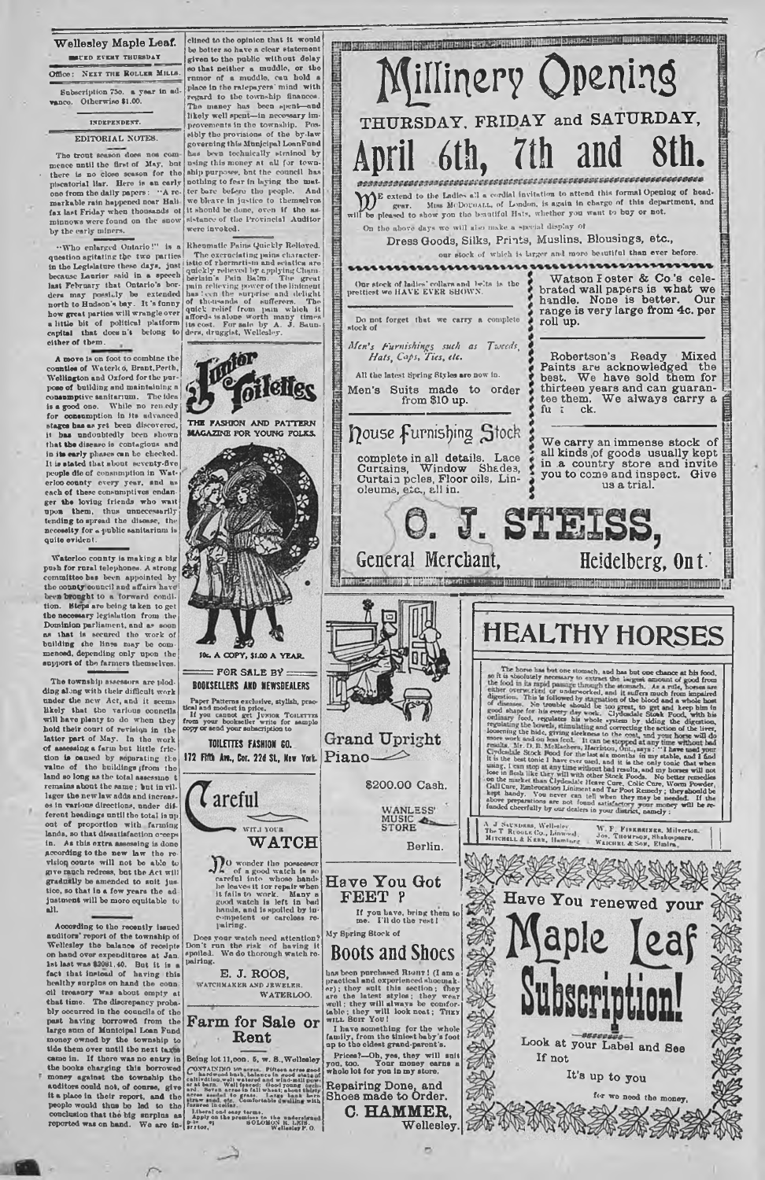**Wellesley Maple Leaf.**

MCID KVKKT THURSDAY Office: NEXT THE ROLLER MILLS.

Subscription 75o. **a** year in ad-Otherwise \$1.00.

#### INDEPENDENT.

#### EDITORIAL NOTES.

Tho trout season does noa com mence until the first of May, but<br>there is no close season for the piscatorial liar. Hero is an early ono from the dally papers: " A re-murkable rain happened near Hah fax last Friday when thousands oi minnows wore found on the snow by the early miners.

" Who enlarged Ontario!" is a question agitating the two parties question spitaling the two parties<br>in the Legislature these days, just<br>because Laurier said in a speech<br>last February that Ontario's bor-<br>ders may possibly be extended<br>north to Hudson's bay. It's funny<br>how great parties wi either of them.

A move is on foot to combine the counties of Woterlcd, Brant,Perth, Wellington and Oxford for the purpose of building and maintaining a cousemptive Sanitarium. The idea is a good one. While no remedy for consumption in its advanced.<br>stages has as yet been discovered, it has undoubtedly been shown that tbs disease is contagious and in its early phases esn be checked. It is stated that about seventy-five people die of consumption in Waterloo county every year, and a» each of these consumptives endanger the loviug friends who wait<br>upon them, thus unnecessarily<br>tending to spread the disease, the necessity for a-public sanitarium is quite evident.

Waterloo county is making a big push for rural telephones. A strong committee has been appointed by tho county council nod affairs have been brought to a forward condi-<br>tion. Blogs are being taken to get<br>the necessary legislation from the<br>Dominion parliament, and as soon<br>as that is secured the work of<br>building the lines may be com-<br>menoed, depending only u

The township assessors arc plod-ding along with their difficult work under tho new Act, and it seems likely that tho various councils will bavo plenty to do when they hold tbeir court of revision in the latter part of May. In tho work of assessing a farm but little friction is caused by separating tho value of tho buildings (from tho land so long as the total asscssme t remains about the same; but in vil.<br>lager the new law adds and increases in various directions, under dif-ferent headings until the total is up out of proportion with farming lands, so that dissatisfaction creeps As this extra assessing is done according to the new law the revision courts will not be able to gradnally be amended to suit jus-<br>gradnally be amended to suit jus-<br>tice, so that in a fow years the ad-<br>justment will be moro equitablo to<br>all.

According to tho recently issued auditors' report of the township of Wellesty the balance of receipte<br>on hand over argueditures at Jan.<br>1st last was \$2081.40. But it is a<br>fact that instead of a having this<br>healthy surplus on hand the counting the<br>coll treasury was about empty at<br>that time. tide them over until the next taxis<br>came in. If there was no entry in<br>the books charging this borrowed<br>money against the township the<br>auditors could not, of comes, give<br>the the place in their report, and the<br>people would t

clined to tho opinion thnt it would hotter so have a clear statement given to the public without delay so that neither a muddle, or tho rnmor of a muddle, can hold a place in tho ratepayers' mind with regard to the township finances.<br>The manoy hus been spent—and<br>likely well spent—in necessary improvements in the township. Poe. slbly the provisions of the by-law governing this Municipal LonnFund hits been technically strained by using this money nt nil for township purposes, but the council has nothing to four in laving tho matter bare boLeru tho people. And<br>we bleave in justice to themselves<br>it should be done, oven if the assistance of tho Provincial Auditor were invoked. Rheomatte Pains Quester<br>The occasion pains character-<br>istic of rherenvision and selative are<br>quickly relieved by applying Cham-<br>quickly relieved by applying Cham-<br>pain a licential basin. The great<br>pain relieving power of t finder **THE FASHION AND PATTERN MAGAZINE FOR YOUNG FOLKS.**  $54$ **10c. A COPY, 5L00 A YEAR. = FOR SALE BY = BOOKSELLERS AND NEWSDEALERS** Paper Patterns exclusive, stylish, prac-<br>tical and modest in price.<br>*If you* **cannot get** *J* vhiox Tourners<br>**from** your bookseller write for sample<br>cop**y or** send your subscription to **TOILETTES FASHION 60. I72 Fifth Ave., Cor. 22d St., Mew York. Piano**  $\ell$  arcful WXT.I YOCB

JO wonder the possessor careful into which is so careful into whose hands it for repair when it fails to work. Many a good watch is left in bed into hands in the land hands, and is spotled by incompetent or careless re-pai

Does your watch need attention? Don't run the risk of having it spoiled. Wo do thorough watch repairing.

> **E. J. ROOS,** WATCHMAKER AND JRWELER WATERLOO.



Being lot ll.oon. 5, w. S.,Wellesley CONTAINED Des ses Filosofs across and the session of the session and the session of the session of the session of the session of the session of the session of the session of the session of the session of the session of the

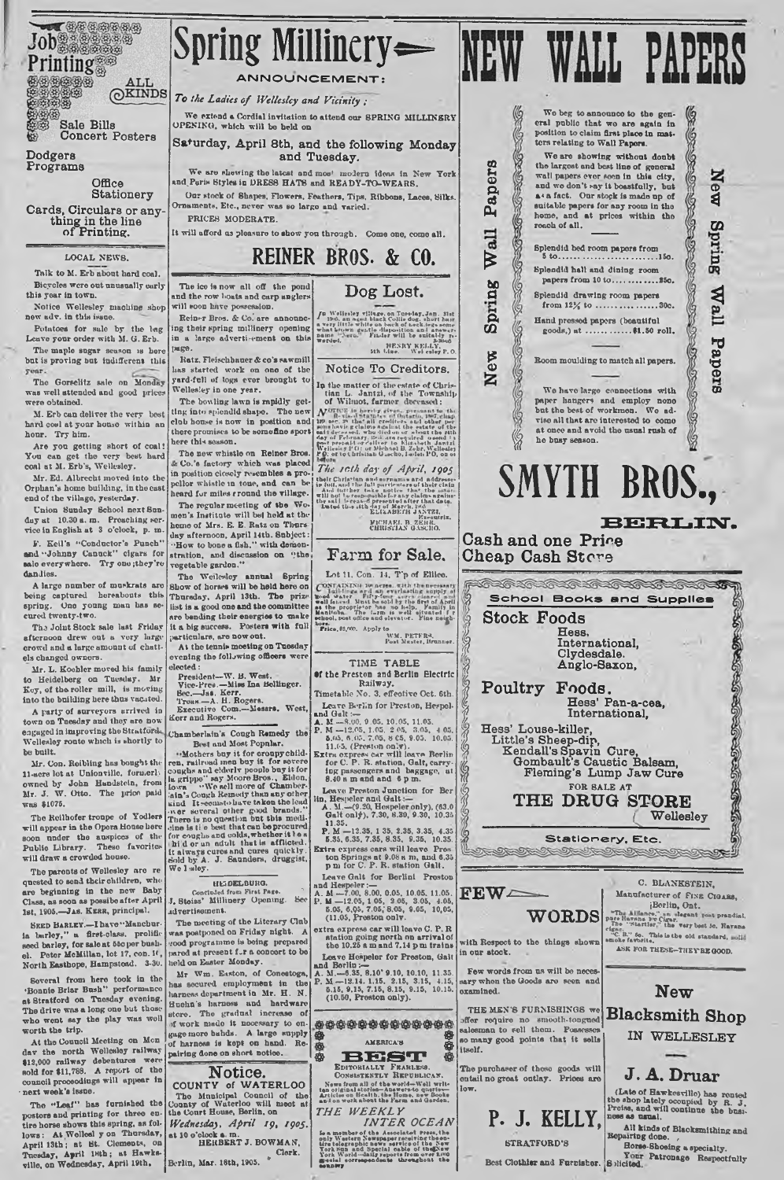

■ 银行银的铁铁钱

**Dodgers Programs**

**Office Stationery Cards, Circulars or any-thing in the line of Printing.**

#### LOCAL NEWS.

Tnlk to M. Erb about hard coal. Bicycles were out unusually curly this your in town.

Notice Wellesley machine shop<br>now adv, in this issue.

now adv. in this issue.<br>Potatoes for sule by the bag<br>Leave your order with M. G. Erb. The maple sugar season is here but is proving but indifferent this

year. The Gorselitz sale on Monday was well attended and good price were obtained.

M. Erb cun deliver the very best hard coal at your house within an hour. Try him.

Are you getting Hhort of coal! You can get the very best hard coal ut M. Erb's, Wellesley.

Mr. Ed. Albrecht moved into the Orphan's home building, in the cast end of the village, yesterday.

Union Sunday School next Sun-day at 10.30 a. in. Preaching ser-vice in English at 3 o'clock, p. m.

F. Keil's "Conductor's Punch" and "Johnny Canuck" cigars for<br>salo everywhere. Try one ;they're dandies.

A large number of muskrats are being captured hereabouts this spring. Ono young man has secured twenty-two.

The Joint Stock sale last Friday afternoon drew out a very larg crowd and a large amount of chattels changed owners.

Mr. L. Koehler moved his family to Heidelberg on Tuesday. Mr Key, of tho roller mill, is moving into the building here thus vacated.

A party of surveyors arrived in town on Tuesday and they aro now engaged in improving the Stratford.<br>Wellesley ronte which is shortly to be built.

Mr. Con. Roibling has bought the 11-acre lot at Unionville, formerly owned by John Hundstein, from Mr. J. W. Otto. The prion paid was \$1075.

The Reilhofer tronpe of Yodlers will appear in the Opera House here soon under the auspices of the<br>Public Library. These favorites<br>will draw a crowded house.

The paronts of Wollesley aro re quested to send their children, who are beginning in the new Baby<br>Class, as soon as possibe after April<br>1st, 1905.—Jas. KERR, principal.

SEED BARLEY.—I have "Manchur-<br>ia burley," a first-class, prolific<br>seed barley, for salo at 55c per bush-<br>el. Peter McMillan, lot 17, con. H, North Easthope, Hampstoad. 3-30.

Sovcral from hero took in the •Bonnio Briar Bush" performance at Stratford on Tuesday evening. Tho drive was a long ono but those who went say tho play wns well worth the trip.

At the Council Meeting on Men dav the north Wellcsloy railway \$12,000 railway debentures were sold for \$11,788. A report of tho council proceedings will appear in<br>pext week's issue.

The "Leaf" has furnished the posters and printing for threo entire horse shows this spring, as fol-<br>lows: At Wellesl y on Thursday, April 13th; at St. Clements, on<br>Tuesday, April 18th; at Hawks-<br>ville, on Wednesday, April 19th. **Spring Millincry— AN N O U N CEM EN T:**

To the Ladies of Wellesley and Vicinity ;

The ico is now all off tho pond and the row boats und carp anglers will soon have possession. Reiner Bros. *&* Co. are announc-<br>ing their spring millinery opening in a largo adverti-emont on this

Ratz. Fleischbaner & co's sawmill has started work on ono of the yard-foil of logs ever brought to Wellesley in one year. The bowling lawn is rapidly get ting into splendid Bhupo. The new club bouse is now in position and there promises to be some fine sport

The new whistle on Reiner Bros. Co.'s factory which was placed in position closely re»embles a propcllor whistle in tone, and can be heard for miles r round the village. The regular meeting of the Women's Institute will be held at the home of Mrs. E. E. Ratz on Thurs home of Mrs. E. E. Ratz on Thurs<br>day afternoon, April 14th. Subject:<br>"How to bone a fish," with demon-<br>stration, and discussion on ''the<br>vegetable gardon."

Tho Wellesley annual Spring 8b ow of horses will be held here on Thursday. April 13th. Tho prize list is a good ono and the oommittee are bending their energies to make It a big success. Posters with full particulars, are now out. At the tennis mooting on Tuosduy evening the following officers were<br>elected:

tlUOELOUIta. Concluded from First Page.<br>J. Stoiss' Millinery Opening. Sec.

The meeting of the Literary Club was postponed on Friday night. A ■food programme is being prepared pared at present f.r a concert to be held on Easter Monday. Mr Wm. Easton, of Conestoga,

»f work mado it necessary to on-

**Notice.**

COUNTY of WATERLOO<br>
Tho Municipal Conncil of the<br>
County of Waterloo will moot at<br>
the Court House, Borlin, on<br> *Wednesday*, *April 19*, 1905.

at 10 o'olook a. m. HERBERT J. BOWMAN, Clerk. Berlin, Mar. 18tn, 1005. \*

pairing done on short notioo.

advertisement.

page.

here this season.

We extend a Cordial invitation to attend our SPRING MILLINERY OPENING, which will be held on

#### **Saturday, April 8th, and the following Monday and Tuesday.**

We are shewing the latest and most modern ideas in New York and Paris Styles in DRE88 HATS and READY-TO-WEARS. Onr stock of Shapes, Flowers, Feathers, Tips. Ribbons, Laces, Silks.

Ornaments. Etc., never was so largo and varied. PRICES MODERATE.

It will afford as pleasure to show you through. Come ono, come all.

## **REINER BROS- & CO.**

### **Dog Lost.**

 $\label{eq:prob} \begin{minipage}{0.9\textwidth} \begin{minipage}{0.9\textwidth} \begin{minipage}{0.9\textwidth} \begin{minipage}{0.9\textwidth} \begin{minipage}{0.9\textwidth} \begin{minipage}{0.9\textwidth} \begin{minipage}{0.9\textwidth} \begin{minipage}{0.9\textwidth} \begin{minipage}{0.9\textwidth} \begin{minipage}{0.9\textwidth} \begin{minipage}{0.9\textwidth} \begin{minipage}{0.9\textwidth} \begin{minipage}{0.9\textwidth} \begin{minipage}{0.9\textwidth} \begin{minipage}{0.9\textwidth} \begin{$ HENRY KELLY, M h More rales

**Notice To Creditors.**

In the matter ot tho estate of Chris-tian L. Jantzi, of the Township of Wilmot, farmer deceased :

119 sec. Ne that all creditors and other performance and the second of the second decreased. Who line at a base of the state of Fernandical control of the state of  $\pi$  and the state of  $\pi$  and  $\pi$  and  $\pi$  and  $\pi$  is t

 $The 16th day of April, 1995  
table Chelfel's algorithm and  
the following solutions of a  
equation of the  
total number of the values that the endu-  
relation of the two-  
plems of the graph of the  
class of possible (or the case of  
the set of the graph of the  
class of the graph of the  
linear set.$ 

VlCHAKL B ZEHR. CH RISTIAN' OASCI 10.

## **Farm for Sale.**

Lot 11.  $Con.$  14.  $T$  p of Ellice. Rood water Filty-fcm. autrice first of April<br>wall faired. Mint be sold by the first of April<br>Manitoba. The f-rm is well aituated fr<br>sencol. post office and viewater. Fine naizhhors.<br>Frice, 03,000. Apply to

#### \VV. PETFR^. Port Ma.ur, Itrunnar.

#### TIME TABLE Of the Preston and Berlin Electric

Railway.<br>Timetable No. 3, effective Oct. 6th

elected:<br>
President--W. *B.* West.<br>
Vice-Pres.—Mias Ina Bollinger.<br>
Hec.—Jus. Kerr.<br>
Troas--A. H. Rogers.<br>
Executive Com.—Messrs. West,<br>
Executive Com.—Messrs. West,<br>
Korr und Rogers. Chamberlain's Congh Remedy the

Best and Most Popular.<br>
Holders buying the process of the process buying the computed buying the section of electric process and education in the section of the section of the section of the section of the section of the s

Timetable No. 3, effeotivo Oct. 6th. Leave Berlin for Preston, Hespol-and G alt:— **A.** M **—**S.yO. 0.05. 10.05, 11.05. P. M —12.05. 1.05. 2 05. 3.05. 4 03. <sup>6</sup>.03. ft.05. 7.05. 8 C5, 9.03. 10.05. 11.05. (Preston on'.y). Extra express car will leave Berlin for C. P. R. station, Galt, carry-ing passengers and baggage, at 6.40 a m and and 6 pm.

Leave Preston Junction for Ber<br> **A. M.**—(9.20, Hespeler only), (63.0<br> **Galt** only), 7.30, 8.30, 9.30, 10.35<br> **P. M** —12.35, 135, 8.35, 9.35, 10.35<br> **P. M** —12.35, 7.35, 8.35, 9.35, 10.35.

Ertrn express cars will leavo Pres ton Springs ut 0.08a ni, and 6.35 p m for C. P. R. station Galt.

Leave Galt for Berlini Preston<br>
A. M —7.00, 8.00, 0.05, 10.05, 11.05,<br>
P. M —12.05, 105, 205, 3.05, 4.05,<br>
5.05, 6.05, 7.05, 8.05, 9.05, 10,05,<br>
5.05, 6.05, Preston only.

extra express car will leave C. P. R station going north on arrival of tho 10.25 a m and 7.14 p m trains

has secured employm**ent in the**<br>harness-department-in Mr. H. N. Leave Hespeler for Preston, Galt<br>
and Borlin:—<br>
A. M.—6.35, 8.10' 9.10, 10.10, 11.35.<br>
P. M — 12.14. 1.15, 2.15, 3.15, 4.15,<br>
5.15, 9.15, 7.15, 8.15, 9.15, 10.15.<br>
(10.50, Preston only).



News from all of the world—Well writ-<br>ten orlgins|atories—Answers-to queries—<br>Articles on Health, the Home, new Books<br>and on work alsout the Farm and Garden. *T H E W E E K L Y*





**WALL PAP**